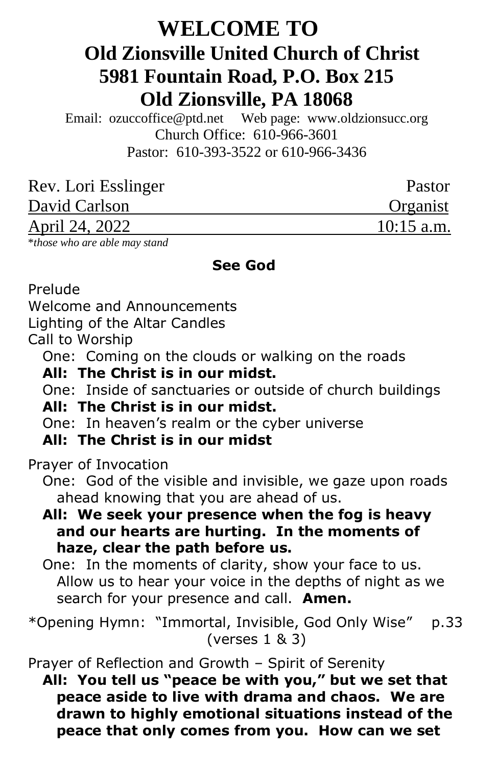# **WELCOME TO Old Zionsville United Church of Christ 5981 Fountain Road, P.O. Box 215 Old Zionsville, PA 18068**

Email: [ozuccoffice@ptd.net](mailto:ozuccoffice@ptd.net) Web page: [www.ol](http://www.uccwebsites.net/oldzionsvilleuccpa.html)dzionsucc.org Church Office: 610-966-3601 Pastor: 610-393-3522 or 610-966-3436

| Rev. Lori Esslinger   | Pastor       |
|-----------------------|--------------|
| David Carlson         | Organist     |
| <u>April 24, 2022</u> | $10:15$ a.m. |

\**those who are able may stand*

#### **See God**

Prelude

Welcome and Announcements

Lighting of the Altar Candles

Call to Worship

One: Coming on the clouds or walking on the roads

 **All: The Christ is in our midst.**

One: Inside of sanctuaries or outside of church buildings

## **All: The Christ is in our midst.**

One: In heaven's realm or the cyber universe

## **All: The Christ is in our midst**

Prayer of Invocation

 One: God of the visible and invisible, we gaze upon roads ahead knowing that you are ahead of us.

 **All: We seek your presence when the fog is heavy and our hearts are hurting. In the moments of haze, clear the path before us.**

 One: In the moments of clarity, show your face to us. Allow us to hear your voice in the depths of night as we search for your presence and call. **Amen.**

\*Opening Hymn: "Immortal, Invisible, God Only Wise" p.33 (verses 1 & 3)

Prayer of Reflection and Growth – Spirit of Serenity

 **All: You tell us "peace be with you," but we set that peace aside to live with drama and chaos. We are drawn to highly emotional situations instead of the peace that only comes from you. How can we set**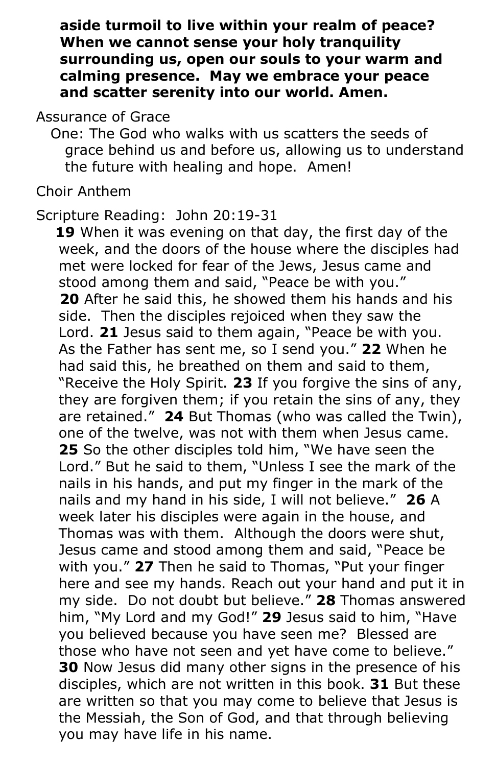**aside turmoil to live within your realm of peace? When we cannot sense your holy tranquility surrounding us, open our souls to your warm and calming presence. May we embrace your peace and scatter serenity into our world. Amen.**

Assurance of Grace

 One: The God who walks with us scatters the seeds of grace behind us and before us, allowing us to understand the future with healing and hope. Amen!

Choir Anthem

Scripture Reading: John 20:19-31

 **19** When it was evening on that day, the first day of the week, and the doors of the house where the disciples had met were locked for fear of the Jews, Jesus came and stood among them and said, "Peace be with you."  **20** After he said this, he showed them his hands and his side. Then the disciples rejoiced when they saw the Lord. **21** Jesus said to them again, "Peace be with you. As the Father has sent me, so I send you." **22** When he had said this, he breathed on them and said to them, "Receive the Holy Spirit. **23** If you forgive the sins of any, they are forgiven them; if you retain the sins of any, they are retained." **24** But Thomas (who was called the Twin), one of the twelve, was not with them when Jesus came. **25** So the other disciples told him, "We have seen the Lord." But he said to them, "Unless I see the mark of the nails in his hands, and put my finger in the mark of the nails and my hand in his side, I will not believe." **26** A week later his disciples were again in the house, and Thomas was with them. Although the doors were shut, Jesus came and stood among them and said, "Peace be with you." **27** Then he said to Thomas, "Put your finger here and see my hands. Reach out your hand and put it in my side. Do not doubt but believe." **28** Thomas answered him, "My Lord and my God!" **29** Jesus said to him, "Have you believed because you have seen me? Blessed are those who have not seen and yet have come to believe." **30** Now Jesus did many other signs in the presence of his disciples, which are not written in this book. **31** But these are written so that you may come to believe that Jesus is the Messiah, the Son of God, and that through believing you may have life in his name.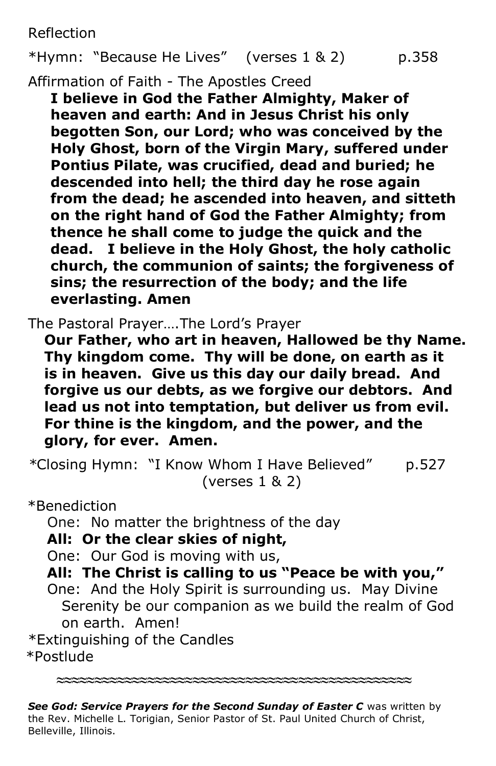Reflection

```
*Hymn: "Because He Lives" (verses 1 & 2) p.358
```
Affirmation of Faith - The Apostles Creed

**I believe in God the Father Almighty, Maker of heaven and earth: And in Jesus Christ his only begotten Son, our Lord; who was conceived by the Holy Ghost, born of the Virgin Mary, suffered under Pontius Pilate, was crucified, dead and buried; he descended into hell; the third day he rose again from the dead; he ascended into heaven, and sitteth on the right hand of God the Father Almighty; from thence he shall come to judge the quick and the dead. I believe in the Holy Ghost, the holy catholic church, the communion of saints; the forgiveness of sins; the resurrection of the body; and the life everlasting. Amen**

The Pastoral Prayer….The Lord's Prayer

**Our Father, who art in heaven, Hallowed be thy Name. Thy kingdom come. Thy will be done, on earth as it is in heaven. Give us this day our daily bread. And forgive us our debts, as we forgive our debtors. And lead us not into temptation, but deliver us from evil. For thine is the kingdom, and the power, and the glory, for ever. Amen.**

*\**Closing Hymn: "I Know Whom I Have Believed" p.527 (verses 1 & 2)

\*Benediction

One: No matter the brightness of the day

## **All: Or the clear skies of night,**

One: Our God is moving with us,

 **All: The Christ is calling to us "Peace be with you,"**

 One: And the Holy Spirit is surrounding us. May Divine Serenity be our companion as we build the realm of God on earth. Amen!

\*Extinguishing of the Candles \*Postlude

*See God: Service Prayers for the Second Sunday of Easter C* was written by the Rev. Michelle L. Torigian, Senior Pastor of St. Paul United Church of Christ, Belleville, Illinois.

**≈≈≈≈≈≈≈≈≈≈≈≈≈≈≈≈≈≈≈≈≈≈≈≈≈≈≈≈≈≈≈≈≈≈≈≈≈≈≈≈≈≈≈≈≈≈≈**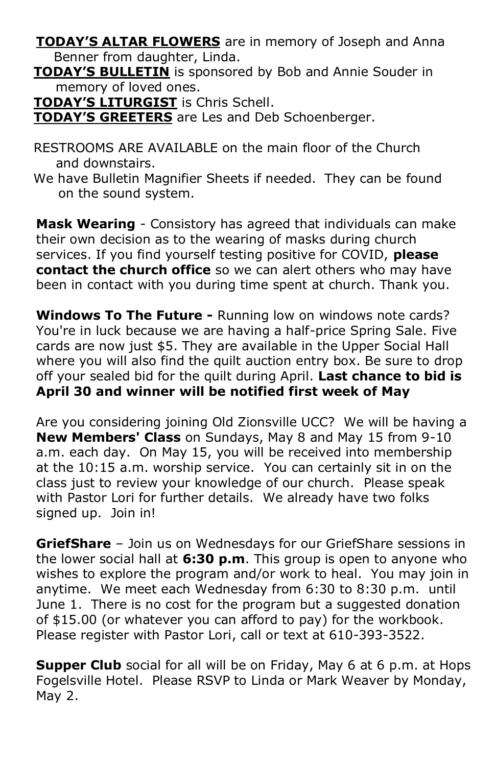**TODAY'S ALTAR FLOWERS** are in memory of Joseph and Anna Benner from daughter, Linda.

 **TODAY'S BULLETIN** is sponsored by Bob and Annie Souder in memory of loved ones.

**TODAY'S LITURGIST** is Chris Schell.

**TODAY'S GREETERS** are Les and Deb Schoenberger.

- RESTROOMS ARE AVAILABLE on the main floor of the Church and downstairs.
- We have Bulletin Magnifier Sheets if needed. They can be found on the sound system.

**Mask Wearing** - Consistory has agreed that individuals can make their own decision as to the wearing of masks during church services. If you find yourself testing positive for COVID, **please contact the church office** so we can alert others who may have been in contact with you during time spent at church. Thank you.

**Windows To The Future -** Running low on windows note cards? You're in luck because we are having a half-price Spring Sale. Five cards are now just \$5. They are available in the Upper Social Hall where you will also find the quilt auction entry box. Be sure to drop off your sealed bid for the quilt during April. **Last chance to bid is April 30 and winner will be notified first week of May**

Are you considering joining Old Zionsville UCC? We will be having a **New Members' Class** on Sundays, May 8 and May 15 from 9-10 a.m. each day. On May 15, you will be received into membership at the 10:15 a.m. worship service. You can certainly sit in on the class just to review your knowledge of our church. Please speak with Pastor Lori for further details. We already have two folks signed up. Join in!

**GriefShare** – Join us on Wednesdays for our GriefShare sessions in the lower social hall at **6:30 p.m**. This group is open to anyone who wishes to explore the program and/or work to heal. You may join in anytime. We meet each Wednesday from 6:30 to 8:30 p.m. until June 1. There is no cost for the program but a suggested donation of \$15.00 (or whatever you can afford to pay) for the workbook. Please register with Pastor Lori, call or text at 610-393-3522.

**Supper Club** social for all will be on Friday, May 6 at 6 p.m. at Hops Fogelsville Hotel. Please RSVP to Linda or Mark Weaver by Monday, May 2.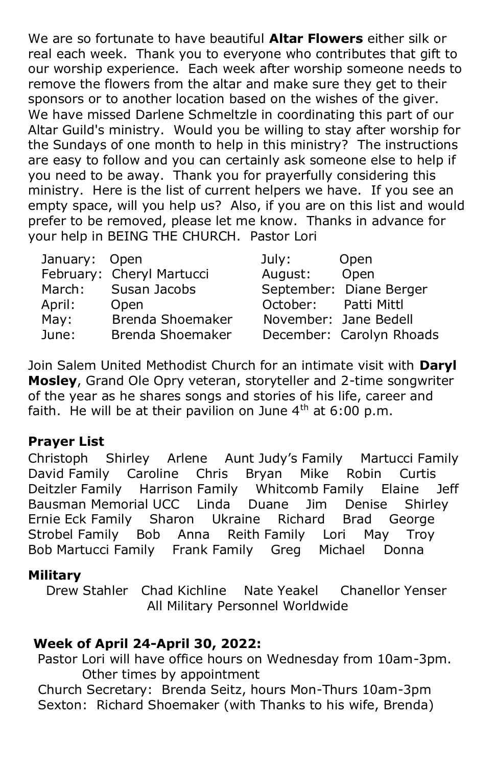We are so fortunate to have beautiful **Altar Flowers** either silk or real each week. Thank you to everyone who contributes that gift to our worship experience. Each week after worship someone needs to remove the flowers from the altar and make sure they get to their sponsors or to another location based on the wishes of the giver. We have missed Darlene Schmeltzle in coordinating this part of our Altar Guild's ministry. Would you be willing to stay after worship for the Sundays of one month to help in this ministry? The instructions are easy to follow and you can certainly ask someone else to help if you need to be away. Thank you for prayerfully considering this ministry. Here is the list of current helpers we have. If you see an empty space, will you help us? Also, if you are on this list and would prefer to be removed, please let me know. Thanks in advance for your help in BEING THE CHURCH. Pastor Lori

| January: Open |                           | July:                | Open                     |
|---------------|---------------------------|----------------------|--------------------------|
|               | February: Cheryl Martucci | August: Open         |                          |
| March:        | Susan Jacobs              |                      | September: Diane Berger  |
| April:        | Open                      | October: Patti Mittl |                          |
| May:          | Brenda Shoemaker          |                      | November: Jane Bedell    |
| June:         | Brenda Shoemaker          |                      | December: Carolyn Rhoads |

Join Salem United Methodist Church for an intimate visit with **Daryl Mosley**, Grand Ole Opry veteran, storyteller and 2-time songwriter of the year as he shares songs and stories of his life, career and faith. He will be at their pavilion on June  $4<sup>th</sup>$  at 6:00 p.m.

#### **Prayer List**

Christoph Shirley Arlene Aunt Judy's Family Martucci Family David Family Caroline Chris Bryan Mike Robin Curtis Deitzler Family Harrison Family Whitcomb Family Elaine Jeff Bausman Memorial UCC Linda Duane Jim Denise Shirley Ernie Eck Family Sharon Ukraine Richard Brad George Strobel Family Bob Anna Reith Family Lori May Troy Bob Martucci Family Frank Family Greg Michael Donna

#### **Military**

 Drew Stahler Chad Kichline Nate Yeakel Chanellor Yenser All Military Personnel Worldwide

#### **Week of April 24-April 30, 2022:**

Pastor Lori will have office hours on Wednesday from 10am-3pm. Other times by appointment

Church Secretary: Brenda Seitz, hours Mon-Thurs 10am-3pm Sexton: Richard Shoemaker (with Thanks to his wife, Brenda)